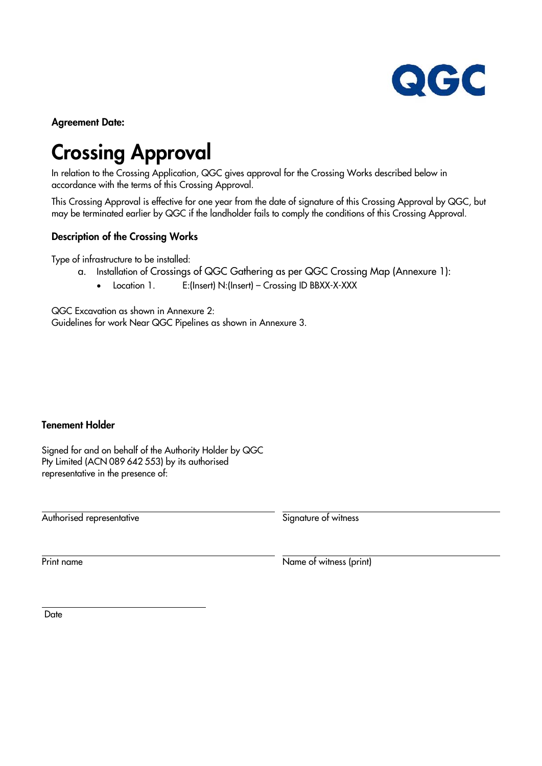

**Agreement Date:** 

# **Crossing Approval**

In relation to the Crossing Application, QGC gives approval for the Crossing Works described below in accordance with the terms of this Crossing Approval.

This Crossing Approval is effective for one year from the date of signature of this Crossing Approval by QGC, but may be terminated earlier by QGC if the landholder fails to comply the conditions of this Crossing Approval.

#### **Description of the Crossing Works**

Type of infrastructure to be installed:

- a. Installation of Crossings of QGC Gathering as per QGC Crossing Map (Annexure 1):
	- Location 1. E:(Insert) N:(Insert) Crossing ID BBXX-X-XXX

QGC Excavation as shown in Annexure 2: Guidelines for work Near QGC Pipelines as shown in Annexure 3.

#### **Tenement Holder**

Signed for and on behalf of the Authority Holder by QGC Pty Limited (ACN 089 642 553) by its authorised representative in the presence of:

Authorised representative and the state of witness Signature of witness

Print name Name of witness (print)

**Date** 

 $\ddot{\phantom{a}}$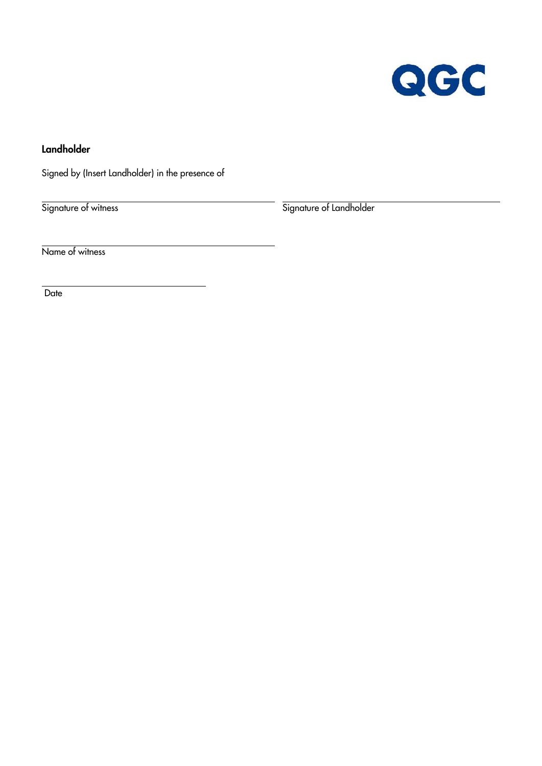

**Landholder** 

Signed by (Insert Landholder) in the presence of

Signature of witness Signature of Landholder

Name of witness

**Date** 

 $\ddot{\phantom{a}}$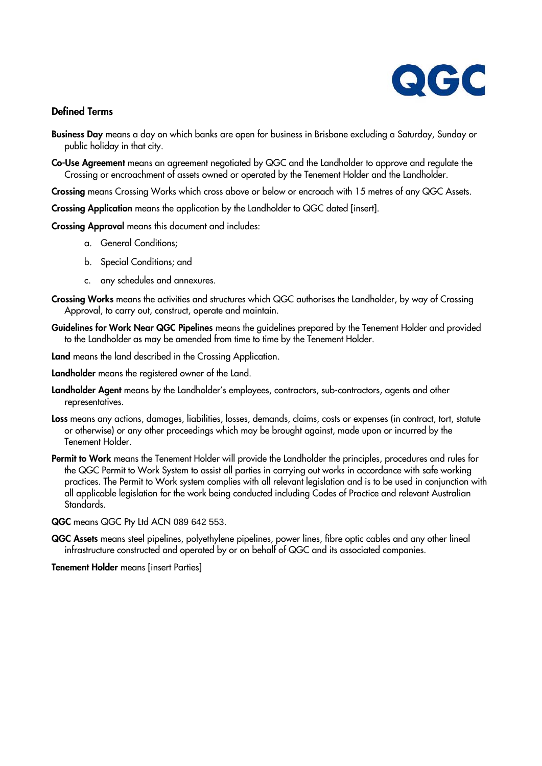

#### **Defined Terms**

- **Business Day** means a day on which banks are open for business in Brisbane excluding a Saturday, Sunday or public holiday in that city.
- **Co-Use Agreement** means an agreement negotiated by QGC and the Landholder to approve and regulate the Crossing or encroachment of assets owned or operated by the Tenement Holder and the Landholder.

**Crossing** means Crossing Works which cross above or below or encroach with 15 metres of any QGC Assets.

**Crossing Application** means the application by the Landholder to QGC dated [insert].

**Crossing Approval** means this document and includes:

- a. General Conditions;
- b. Special Conditions; and
- c. any schedules and annexures.
- **Crossing Works** means the activities and structures which QGC authorises the Landholder, by way of Crossing Approval, to carry out, construct, operate and maintain.
- **Guidelines for Work Near QGC Pipelines** means the guidelines prepared by the Tenement Holder and provided to the Landholder as may be amended from time to time by the Tenement Holder.

**Land** means the land described in the Crossing Application.

**Landholder** means the registered owner of the Land.

- **Landholder Agent** means by the Landholder's employees, contractors, sub-contractors, agents and other representatives.
- **Loss** means any actions, damages, liabilities, losses, demands, claims, costs or expenses (in contract, tort, statute or otherwise) or any other proceedings which may be brought against, made upon or incurred by the Tenement Holder.
- **Permit to Work** means the Tenement Holder will provide the Landholder the principles, procedures and rules for the QGC Permit to Work System to assist all parties in carrying out works in accordance with safe working practices. The Permit to Work system complies with all relevant legislation and is to be used in conjunction with all applicable legislation for the work being conducted including Codes of Practice and relevant Australian Standards.

**QGC** means QGC Pty Ltd ACN 089 642 553.

**QGC Assets** means steel pipelines, polyethylene pipelines, power lines, fibre optic cables and any other lineal infrastructure constructed and operated by or on behalf of QGC and its associated companies.

**Tenement Holder** means [insert Parties]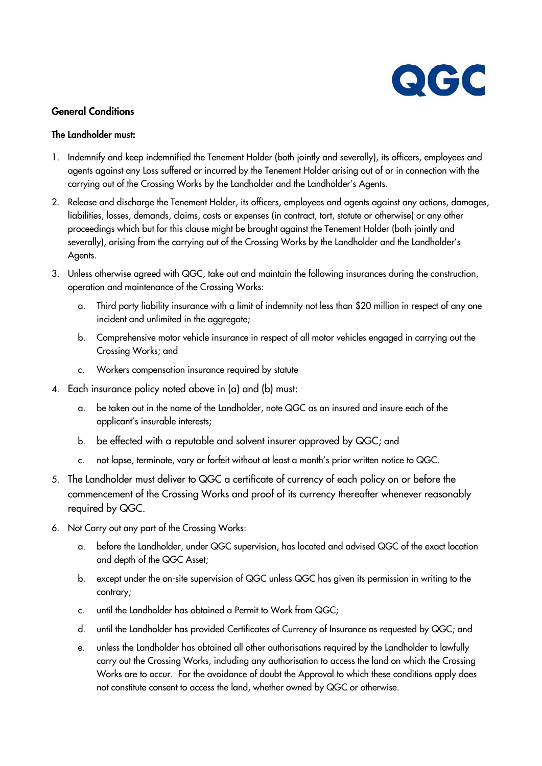

#### **General Conditions**

#### **The Landholder must:**

- 1. Indemnify and keep indemnified the Tenement Holder (both jointly and severally), its officers, employees and agents against any Loss suffered or incurred by the Tenement Holder arising out of or in connection with the carrying out of the Crossing Works by the Landholder and the Landholder's Agents.
- 2. Release and discharge the Tenement Holder, its officers, employees and agents against any actions, damages, liabilities, losses, demands, claims, costs or expenses (in contract, tort, statute or otherwise) or any other proceedings which but for this clause might be brought against the Tenement Holder (both jointly and severally), arising from the carrying out of the Crossing Works by the Landholder and the Landholder's Agents.
- 3. Unless otherwise agreed with QGC, take out and maintain the following insurances during the construction, operation and maintenance of the Crossing Works:
	- a. Third party liability insurance with a limit of indemnity not less than \$20 million in respect of any one incident and unlimited in the aggregate;
	- b. Comprehensive motor vehicle insurance in respect of all motor vehicles engaged in carrying out the Crossing Works; and
	- c. Workers compensation insurance required by statute
- 4. Each insurance policy noted above in (a) and (b) must:
	- a. be taken out in the name of the Landholder, note QGC as an insured and insure each of the applicant's insurable interests;
	- b. be effected with a reputable and solvent insurer approved by QGC; and
	- c. not lapse, terminate, vary or forfeit without at least a month's prior written notice to QGC.
- 5. The Landholder must deliver to QGC a certificate of currency of each policy on or before the commencement of the Crossing Works and proof of its currency thereafter whenever reasonably required by QGC.
- 6. Not Carry out any part of the Crossing Works:
	- a. before the Landholder, under QGC supervision, has located and advised QGC of the exact location and depth of the QGC Asset;
	- b. except under the on-site supervision of QGC unless QGC has given its permission in writing to the contrary;
	- c. until the Landholder has obtained a Permit to Work from QGC;
	- d. until the Landholder has provided Certificates of Currency of Insurance as requested by QGC; and
	- e. unless the Landholder has obtained all other authorisations required by the Landholder to lawfully carry out the Crossing Works, including any authorisation to access the land on which the Crossing Works are to occur. For the avoidance of doubt the Approval to which these conditions apply does not constitute consent to access the land, whether owned by QGC or otherwise.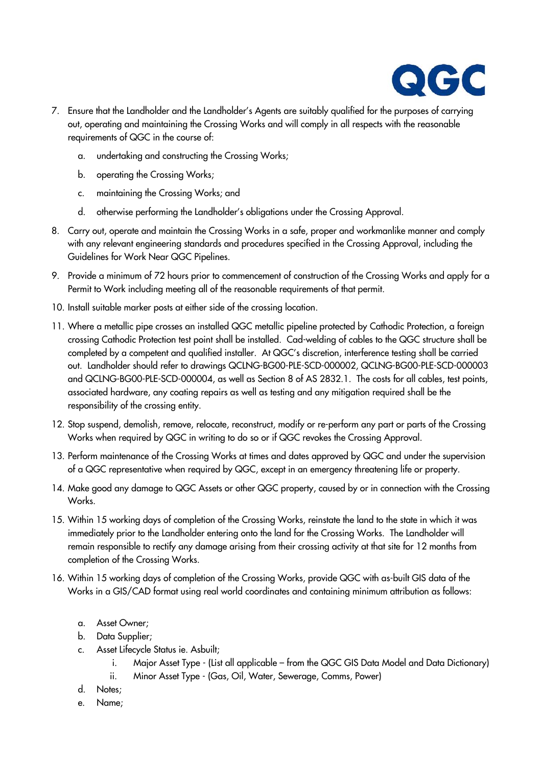

- 7. Ensure that the Landholder and the Landholder's Agents are suitably qualified for the purposes of carrying out, operating and maintaining the Crossing Works and will comply in all respects with the reasonable requirements of QGC in the course of:
	- a. undertaking and constructing the Crossing Works;
	- b. operating the Crossing Works;
	- c. maintaining the Crossing Works; and
	- d. otherwise performing the Landholder's obligations under the Crossing Approval.
- 8. Carry out, operate and maintain the Crossing Works in a safe, proper and workmanlike manner and comply with any relevant engineering standards and procedures specified in the Crossing Approval, including the Guidelines for Work Near QGC Pipelines.
- 9. Provide a minimum of 72 hours prior to commencement of construction of the Crossing Works and apply for a Permit to Work including meeting all of the reasonable requirements of that permit.
- 10. Install suitable marker posts at either side of the crossing location.
- 11. Where a metallic pipe crosses an installed QGC metallic pipeline protected by Cathodic Protection, a foreign crossing Cathodic Protection test point shall be installed. Cad-welding of cables to the QGC structure shall be completed by a competent and qualified installer. At QGC's discretion, interference testing shall be carried out. Landholder should refer to drawings QCLNG-BG00-PLE-SCD-000002, QCLNG-BG00-PLE-SCD-000003 and QCLNG-BG00-PLE-SCD-000004, as well as Section 8 of AS 2832.1. The costs for all cables, test points, associated hardware, any coating repairs as well as testing and any mitigation required shall be the responsibility of the crossing entity.
- 12. Stop suspend, demolish, remove, relocate, reconstruct, modify or re-perform any part or parts of the Crossing Works when required by QGC in writing to do so or if QGC revokes the Crossing Approval.
- 13. Perform maintenance of the Crossing Works at times and dates approved by QGC and under the supervision of a QGC representative when required by QGC, except in an emergency threatening life or property.
- 14. Make good any damage to QGC Assets or other QGC property, caused by or in connection with the Crossing Works.
- 15. Within 15 working days of completion of the Crossing Works, reinstate the land to the state in which it was immediately prior to the Landholder entering onto the land for the Crossing Works. The Landholder will remain responsible to rectify any damage arising from their crossing activity at that site for 12 months from completion of the Crossing Works.
- 16. Within 15 working days of completion of the Crossing Works, provide QGC with as-built GIS data of the Works in a GIS/CAD format using real world coordinates and containing minimum attribution as follows:
	- a. Asset Owner;
	- b. Data Supplier;
	- c. Asset Lifecycle Status ie. Asbuilt;
		- i. Major Asset Type (List all applicable from the QGC GIS Data Model and Data Dictionary)
		- ii. Minor Asset Type (Gas, Oil, Water, Sewerage, Comms, Power)
	- d. Notes;
	- e. Name;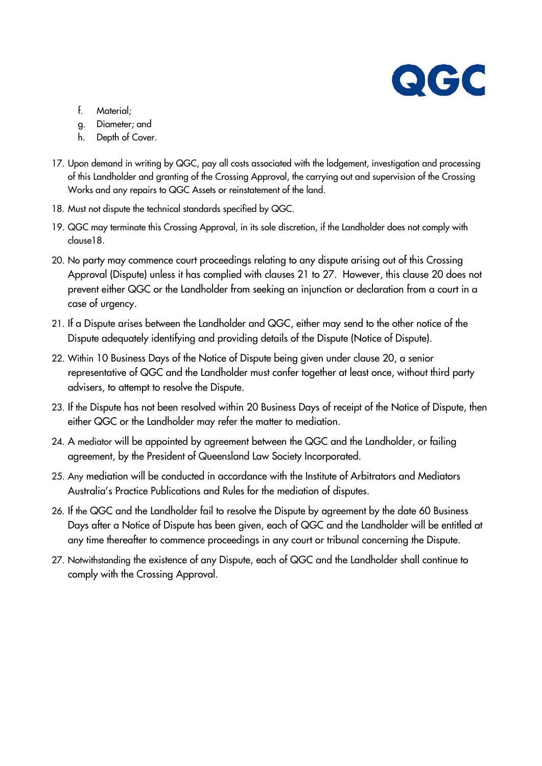

- f. Material;
- g. Diameter; and
- h. Depth of Cover.
- 17. Upon demand in writing by QGC, pay all costs associated with the lodgement, investigation and processing of this Landholder and granting of the Crossing Approval, the carrying out and supervision of the Crossing Works and any repairs to QGC Assets or reinstatement of the land.
- 18. Must not dispute the technical standards specified by QGC.
- 19. QGC may terminate this Crossing Approval, in its sole discretion, if the Landholder does not comply with clause18.
- 20. No party may commence court proceedings relating to any dispute arising out of this Crossing Approval (Dispute) unless it has complied with clauses 21 to 27. However, this clause 20 does not prevent either QGC or the Landholder from seeking an injunction or declaration from a court in a case of urgency.
- 21. If a Dispute arises between the Landholder and QGC, either may send to the other notice of the Dispute adequately identifying and providing details of the Dispute (Notice of Dispute).
- 22. Within 10 Business Days of the Notice of Dispute being given under clause 20, a senior representative of QGC and the Landholder must confer together at least once, without third party advisers, to attempt to resolve the Dispute.
- 23. If the Dispute has not been resolved within 20 Business Days of receipt of the Notice of Dispute, then either QGC or the Landholder may refer the matter to mediation.
- 24. A mediator will be appointed by agreement between the QGC and the Landholder, or failing agreement, by the President of Queensland Law Society Incorporated.
- 25. Any mediation will be conducted in accordance with the Institute of Arbitrators and Mediators Australia's Practice Publications and Rules for the mediation of disputes.
- 26. If the QGC and the Landholder fail to resolve the Dispute by agreement by the date 60 Business Days after a Notice of Dispute has been given, each of QGC and the Landholder will be entitled at any time thereafter to commence proceedings in any court or tribunal concerning the Dispute.
- 27. Notwithstanding the existence of any Dispute, each of QGC and the Landholder shall continue to comply with the Crossing Approval.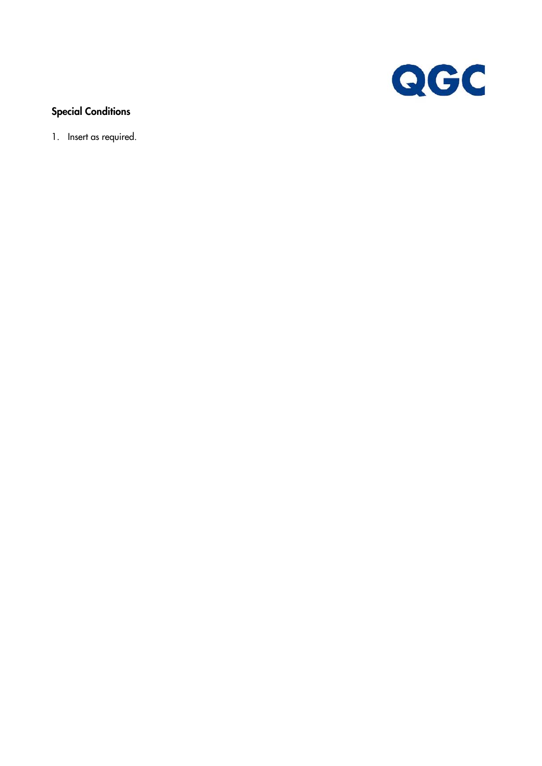

### **Special Conditions**

1. Insert as required.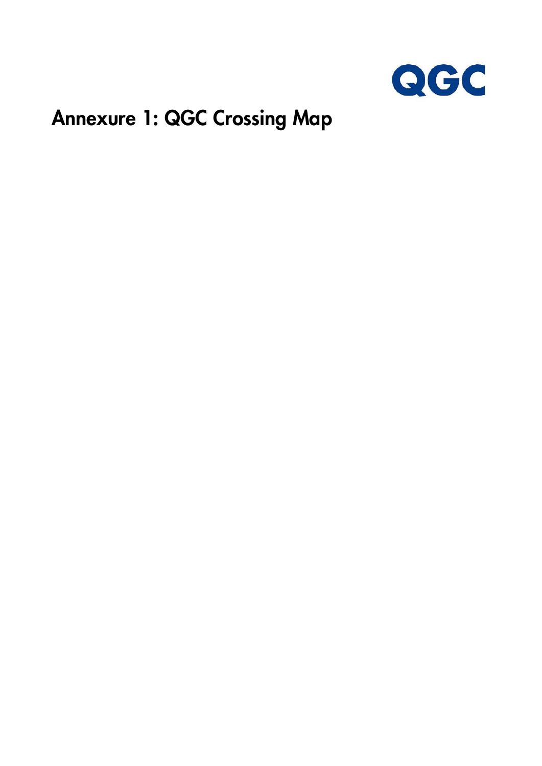

### **Annexure 1: QGC Crossing Map**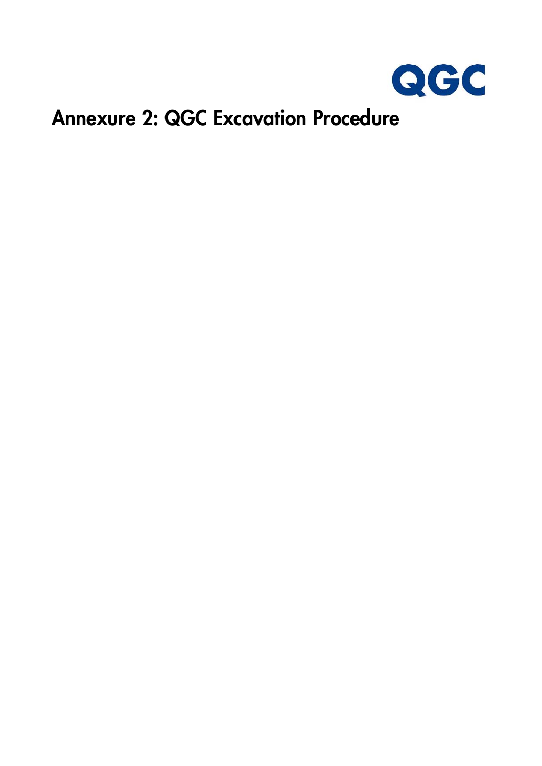

### **Annexure 2: QGC Excavation Procedure**